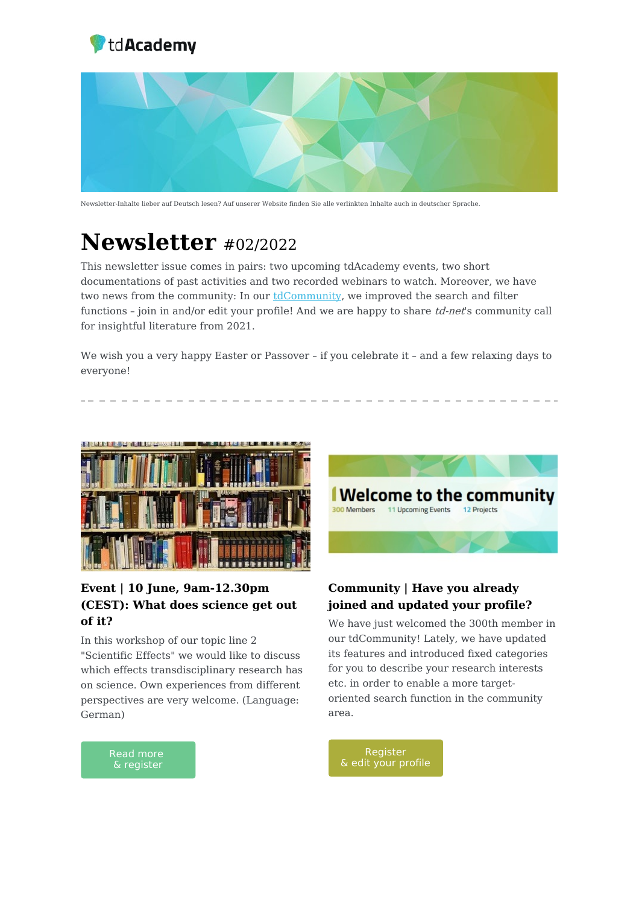



Newsletter-Inhalte lieber auf Deutsch lesen? Auf unserer Website finden Sie alle verlinkten Inhalte auch in deutscher Sprache.

# **Newsletter** #02/2022

This newsletter issue comes in pairs: two upcoming tdAcademy events, two short documentations of past activities and two recorded webinars to watch. Moreover, we have two news from the community: In our [tdCommunity,](https://td-academy.org/tdcommunity/) we improved the search and filter functions - join in and/or edit your profile! And we are happy to share td-net's community call for insightful literature from 2021.

We wish you a very happy Easter or Passover – if you celebrate it – and a few relaxing days to everyone!



### **Event | 10 June, 9am-12.30pm (CEST): What does science get out of it?**

In this workshop of our topic line 2 "Scientific Effects" we would like to discuss which effects transdisciplinary research has on science. Own experiences from different perspectives are very welcome. (Language: German)



### **Community | Have you already joined and updated your profile?**

We have just welcomed the 300th member in our tdCommunity! Lately, we have updated its features and introduced fixed categories for you to describe your research interests etc. in order to enable a more targetoriented search function in the community area.



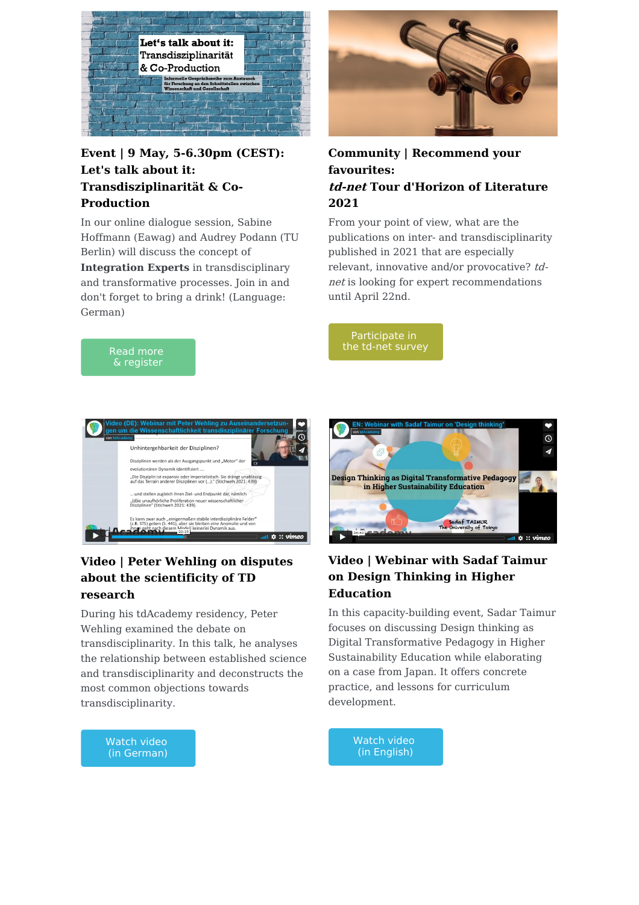

#### **Event | 9 May, 5-6.30pm (CEST): Let's talk about it: Transdisziplinarität & Co-Production**

In our online dialogue session, Sabine Hoffmann (Eawag) and Audrey Podann (TU Berlin) will discuss the concept of

**Integration Experts** in transdisciplinary and transformative processes. Join in and don't forget to bring a drink! (Language: German)



#### **Community | Recommend your favourites: td-net Tour d'Horizon of Literature 2021**

From your point of view, what are the publications on inter- and transdisciplinarity published in 2021 that are especially relevant, innovative and/or provocative? tdnet is looking for expert recommendations until April 22nd.

[Participate](https://naturalsciences.ch/co-producing-knowledge-explained/tour_d_horizon_of_literature_2021) in the td-net survey





### **Video | Peter Wehling on disputes about the scientificity of TD research**

During his tdAcademy residency, Peter Wehling examined the debate on transdisciplinarity. In this talk, he analyses the relationship between established science and transdisciplinarity and deconstructs the most common objections towards transdisciplinarity.



## **Video | Webinar with Sadaf Taimur on Design Thinking in Higher Education**

In this capacity-building event, Sadar Taimur focuses on discussing Design thinking as Digital Transformative Pedagogy in Higher Sustainability Education while elaborating on a case from Japan. It offers concrete practice, and lessons for curriculum development.



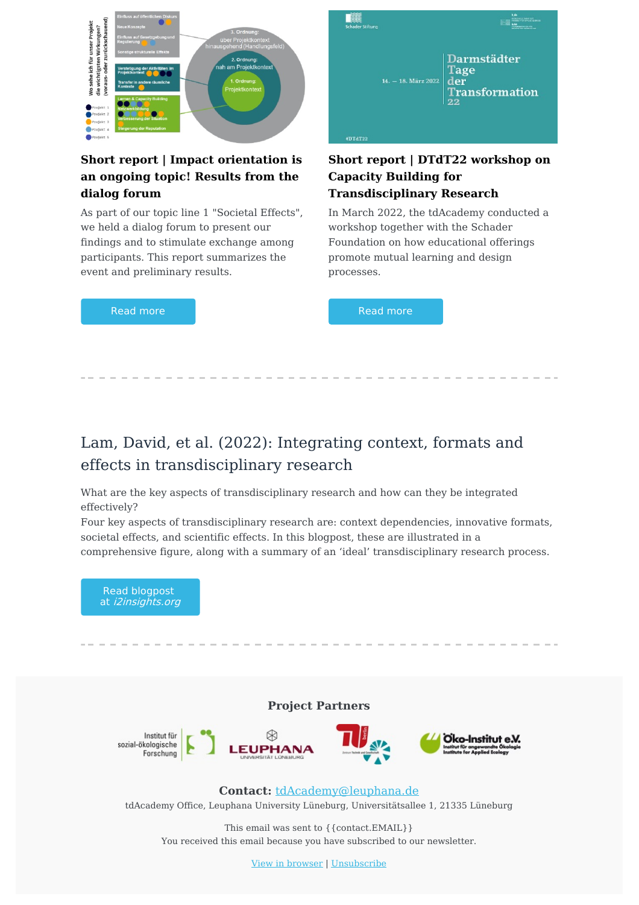

### **Short report | Impact orientation is an ongoing topic! Results from the dialog forum**

As part of our topic line 1 "Societal Effects", we held a dialog forum to present our findings and to stimulate exchange among participants. This report summarizes the event and preliminary results.

Read [more](https://td-academy.org/en/tdacademy/topic-lines/topic-line-1-societal-effects/impact-orientation-is-an-ongoing-topic-results-from-the-dialog-forum/)



#### **Short report | DTdT22 workshop on Capacity Building for Transdisciplinary Research**

In March 2022, the tdAcademy conducted a workshop together with the Schader Foundation on how educational offerings promote mutual learning and design processes.

Read [more](https://td-academy.org/en/updates/dtdt22-workshop-capacity-building-for-transdisciplinary-research/)

# Lam, David, et al. (2022): Integrating context, formats and effects in transdisciplinary research

What are the key aspects of transdisciplinary research and how can they be integrated effectively?

Four key aspects of transdisciplinary research are: context dependencies, innovative formats, societal effects, and scientific effects. In this blogpost, these are illustrated in a comprehensive figure, along with a summary of an 'ideal' transdisciplinary research process.



This email was sent to {{contact.EMAIL}} You received this email because you have subscribed to our newsletter.

View in [browser](file:///var/www/html/public/%7B%7B%20mirror%20%7D%7D) | [Unsubscribe](file:///var/www/html/public/%7B%7B%20unsubscribe%20%7D%7D)